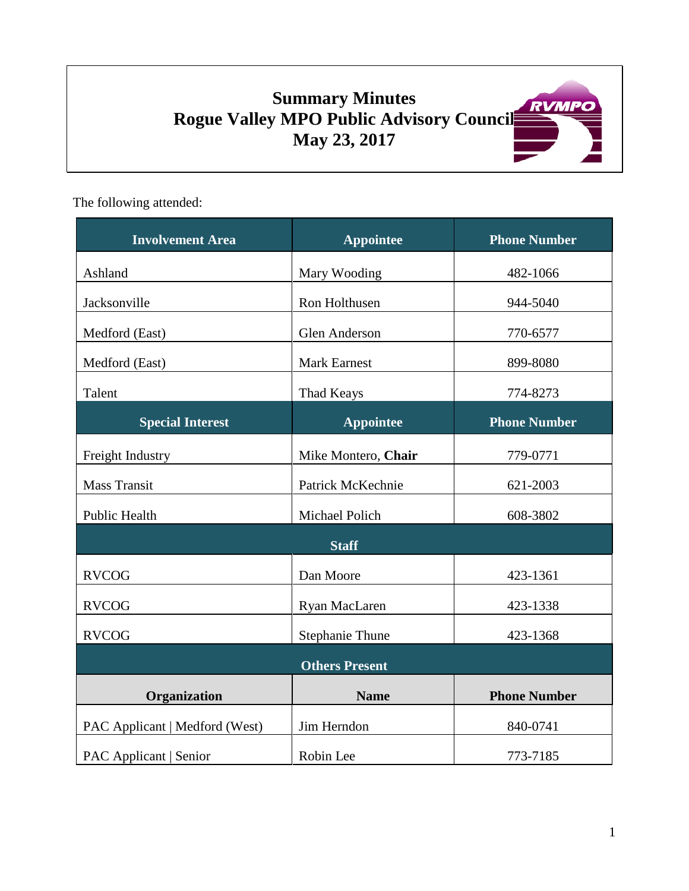# **Summary Minutes Rogue Valley MPO Public Advisory Council May 23, 2017**

The following attended:

| <b>Involvement Area</b>        | <b>Appointee</b>       | <b>Phone Number</b> |
|--------------------------------|------------------------|---------------------|
| Ashland                        | Mary Wooding           | 482-1066            |
| Jacksonville                   | Ron Holthusen          | 944-5040            |
| Medford (East)                 | <b>Glen Anderson</b>   | 770-6577            |
| Medford (East)                 | <b>Mark Earnest</b>    | 899-8080            |
| Talent                         | Thad Keays             | 774-8273            |
| <b>Special Interest</b>        | <b>Appointee</b>       | <b>Phone Number</b> |
| Freight Industry               | Mike Montero, Chair    | 779-0771            |
| Mass Transit                   | Patrick McKechnie      | 621-2003            |
| <b>Public Health</b>           | Michael Polich         | 608-3802            |
| <b>Staff</b>                   |                        |                     |
| <b>RVCOG</b>                   | Dan Moore              | 423-1361            |
| <b>RVCOG</b>                   | Ryan MacLaren          | 423-1338            |
| <b>RVCOG</b>                   | <b>Stephanie Thune</b> | 423-1368            |
| <b>Others Present</b>          |                        |                     |
| Organization                   | <b>Name</b>            | <b>Phone Number</b> |
| PAC Applicant   Medford (West) | Jim Herndon            | 840-0741            |
| <b>PAC Applicant   Senior</b>  | Robin Lee              | 773-7185            |

RVMPO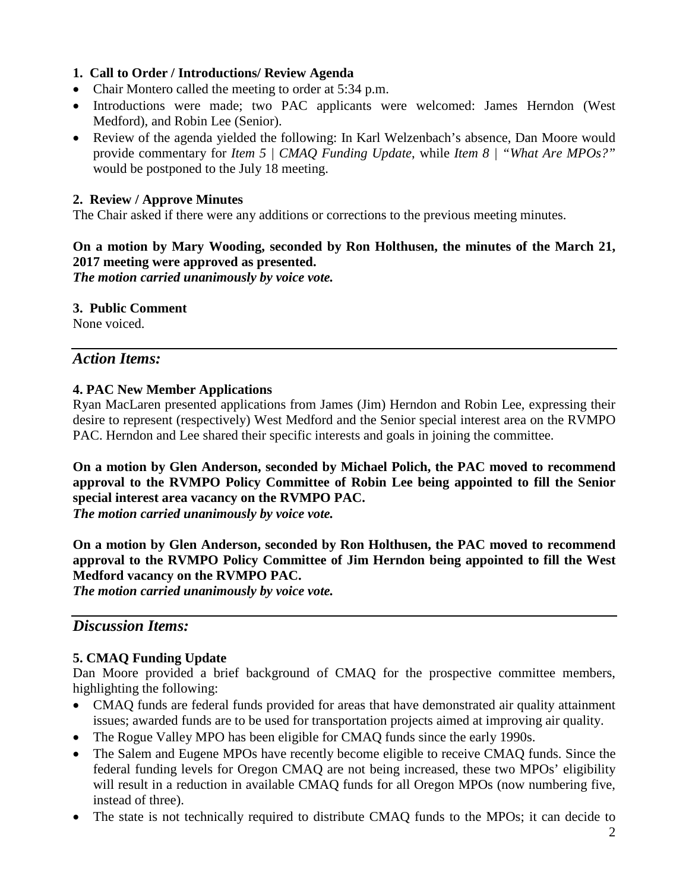## **1. Call to Order / Introductions/ Review Agenda**

- Chair Montero called the meeting to order at 5:34 p.m.
- Introductions were made; two PAC applicants were welcomed: James Herndon (West Medford), and Robin Lee (Senior).
- Review of the agenda yielded the following: In Karl Welzenbach's absence, Dan Moore would provide commentary for *Item 5 | CMAQ Funding Update*, while *Item 8 | "What Are MPOs?"* would be postponed to the July 18 meeting.

## **2. Review / Approve Minutes**

The Chair asked if there were any additions or corrections to the previous meeting minutes.

# **On a motion by Mary Wooding, seconded by Ron Holthusen, the minutes of the March 21, 2017 meeting were approved as presented.**

*The motion carried unanimously by voice vote.*

## **3. Public Comment**

None voiced.

# *Action Items:*

#### **4. PAC New Member Applications**

Ryan MacLaren presented applications from James (Jim) Herndon and Robin Lee, expressing their desire to represent (respectively) West Medford and the Senior special interest area on the RVMPO PAC. Herndon and Lee shared their specific interests and goals in joining the committee.

**On a motion by Glen Anderson, seconded by Michael Polich, the PAC moved to recommend approval to the RVMPO Policy Committee of Robin Lee being appointed to fill the Senior special interest area vacancy on the RVMPO PAC.**  *The motion carried unanimously by voice vote.*

**On a motion by Glen Anderson, seconded by Ron Holthusen, the PAC moved to recommend approval to the RVMPO Policy Committee of Jim Herndon being appointed to fill the West Medford vacancy on the RVMPO PAC.** 

*The motion carried unanimously by voice vote.*

# *Discussion Items:*

## **5. CMAQ Funding Update**

Dan Moore provided a brief background of CMAQ for the prospective committee members, highlighting the following:

- CMAQ funds are federal funds provided for areas that have demonstrated air quality attainment issues; awarded funds are to be used for transportation projects aimed at improving air quality.
- The Rogue Valley MPO has been eligible for CMAQ funds since the early 1990s.
- The Salem and Eugene MPOs have recently become eligible to receive CMAQ funds. Since the federal funding levels for Oregon CMAQ are not being increased, these two MPOs' eligibility will result in a reduction in available CMAQ funds for all Oregon MPOs (now numbering five, instead of three).
- The state is not technically required to distribute CMAQ funds to the MPOs; it can decide to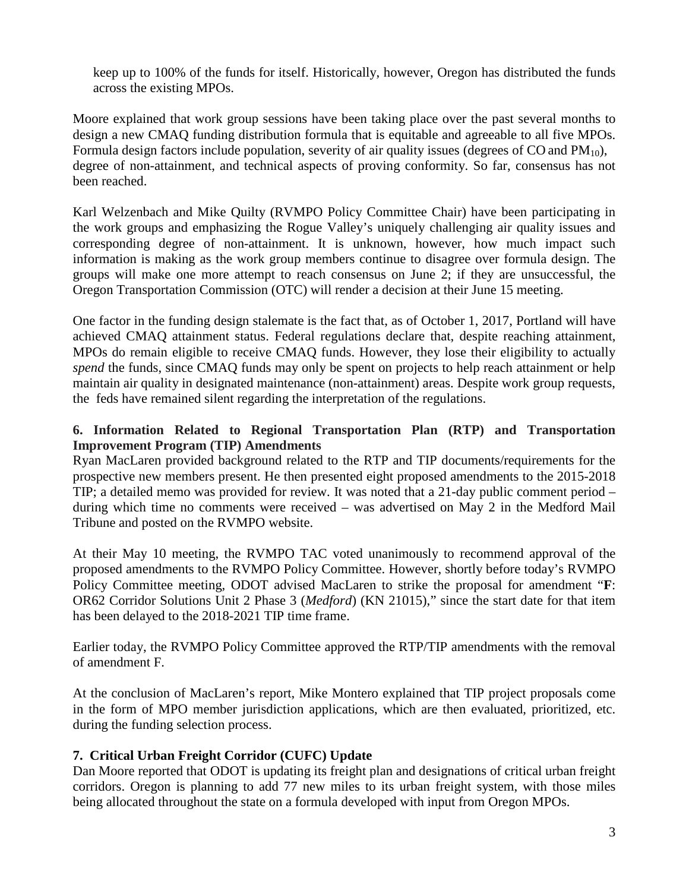keep up to 100% of the funds for itself. Historically, however, Oregon has distributed the funds across the existing MPOs.

Moore explained that work group sessions have been taking place over the past several months to design a new CMAQ funding distribution formula that is equitable and agreeable to all five MPOs. Formula design factors include population, severity of air quality issues (degrees of  $CO$  and  $PM_{10}$ ), degree of non-attainment, and technical aspects of proving conformity. So far, consensus has not been reached.

Karl Welzenbach and Mike Quilty (RVMPO Policy Committee Chair) have been participating in the work groups and emphasizing the Rogue Valley's uniquely challenging air quality issues and corresponding degree of non-attainment. It is unknown, however, how much impact such information is making as the work group members continue to disagree over formula design. The groups will make one more attempt to reach consensus on June 2; if they are unsuccessful, the Oregon Transportation Commission (OTC) will render a decision at their June 15 meeting.

One factor in the funding design stalemate is the fact that, as of October 1, 2017, Portland will have achieved CMAQ attainment status. Federal regulations declare that, despite reaching attainment, MPOs do remain eligible to receive CMAQ funds. However, they lose their eligibility to actually *spend* the funds, since CMAQ funds may only be spent on projects to help reach attainment or help maintain air quality in designated maintenance (non-attainment) areas. Despite work group requests, the feds have remained silent regarding the interpretation of the regulations.

## **6. Information Related to Regional Transportation Plan (RTP) and Transportation Improvement Program (TIP) Amendments**

Ryan MacLaren provided background related to the RTP and TIP documents/requirements for the prospective new members present. He then presented eight proposed amendments to the 2015-2018 TIP; a detailed memo was provided for review. It was noted that a 21-day public comment period – during which time no comments were received – was advertised on May 2 in the Medford Mail Tribune and posted on the RVMPO website.

At their May 10 meeting, the RVMPO TAC voted unanimously to recommend approval of the proposed amendments to the RVMPO Policy Committee. However, shortly before today's RVMPO Policy Committee meeting, ODOT advised MacLaren to strike the proposal for amendment "**F**: OR62 Corridor Solutions Unit 2 Phase 3 (*Medford*) (KN 21015)," since the start date for that item has been delayed to the 2018-2021 TIP time frame.

Earlier today, the RVMPO Policy Committee approved the RTP/TIP amendments with the removal of amendment F.

At the conclusion of MacLaren's report, Mike Montero explained that TIP project proposals come in the form of MPO member jurisdiction applications, which are then evaluated, prioritized, etc. during the funding selection process.

## **7. Critical Urban Freight Corridor (CUFC) Update**

Dan Moore reported that ODOT is updating its freight plan and designations of critical urban freight corridors. Oregon is planning to add 77 new miles to its urban freight system, with those miles being allocated throughout the state on a formula developed with input from Oregon MPOs.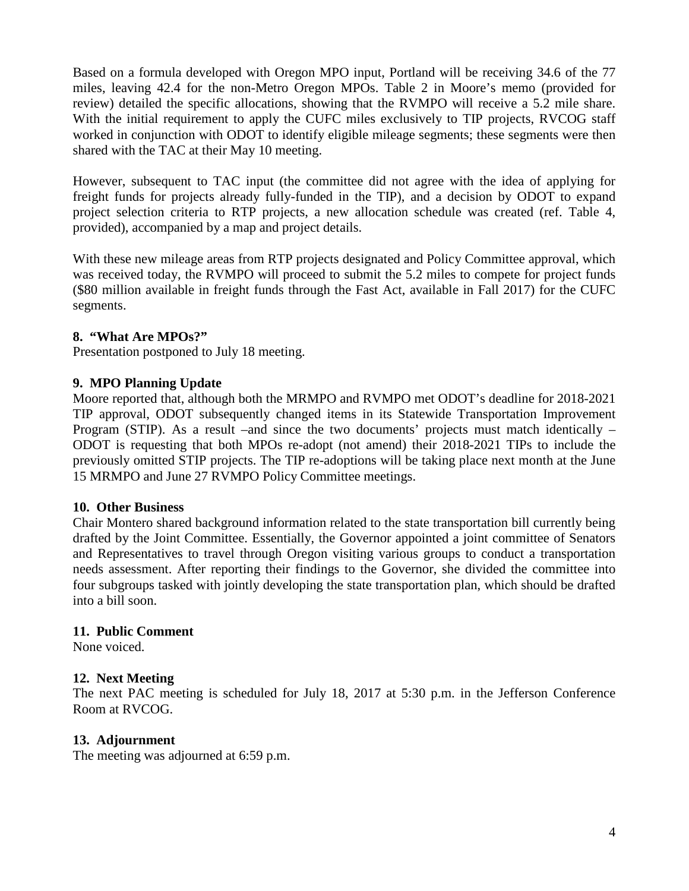Based on a formula developed with Oregon MPO input, Portland will be receiving 34.6 of the 77 miles, leaving 42.4 for the non-Metro Oregon MPOs. Table 2 in Moore's memo (provided for review) detailed the specific allocations, showing that the RVMPO will receive a 5.2 mile share. With the initial requirement to apply the CUFC miles exclusively to TIP projects, RVCOG staff worked in conjunction with ODOT to identify eligible mileage segments; these segments were then shared with the TAC at their May 10 meeting.

However, subsequent to TAC input (the committee did not agree with the idea of applying for freight funds for projects already fully-funded in the TIP), and a decision by ODOT to expand project selection criteria to RTP projects, a new allocation schedule was created (ref. Table 4, provided), accompanied by a map and project details.

With these new mileage areas from RTP projects designated and Policy Committee approval, which was received today, the RVMPO will proceed to submit the 5.2 miles to compete for project funds (\$80 million available in freight funds through the Fast Act, available in Fall 2017) for the CUFC segments.

## **8. "What Are MPOs?"**

Presentation postponed to July 18 meeting.

## **9. MPO Planning Update**

Moore reported that, although both the MRMPO and RVMPO met ODOT's deadline for 2018-2021 TIP approval, ODOT subsequently changed items in its Statewide Transportation Improvement Program (STIP). As a result –and since the two documents' projects must match identically – ODOT is requesting that both MPOs re-adopt (not amend) their 2018-2021 TIPs to include the previously omitted STIP projects. The TIP re-adoptions will be taking place next month at the June 15 MRMPO and June 27 RVMPO Policy Committee meetings.

#### **10. Other Business**

Chair Montero shared background information related to the state transportation bill currently being drafted by the Joint Committee. Essentially, the Governor appointed a joint committee of Senators and Representatives to travel through Oregon visiting various groups to conduct a transportation needs assessment. After reporting their findings to the Governor, she divided the committee into four subgroups tasked with jointly developing the state transportation plan, which should be drafted into a bill soon.

#### **11. Public Comment**

None voiced.

#### **12. Next Meeting**

The next PAC meeting is scheduled for July 18, 2017 at 5:30 p.m. in the Jefferson Conference Room at RVCOG.

#### **13. Adjournment**

The meeting was adjourned at 6:59 p.m.